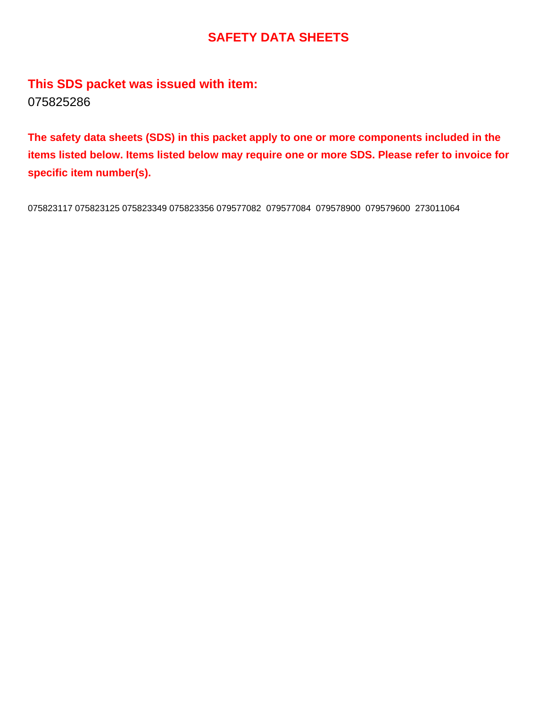# **SAFETY DATA SHEETS**

**This SDS packet was issued with item:** 075825286

**The safety data sheets (SDS) in this packet apply to one or more components included in the items listed below. Items listed below may require one or more SDS. Please refer to invoice for specific item number(s).**

075823117 075823125 075823349 075823356 079577082 079577084 079578900 079579600 273011064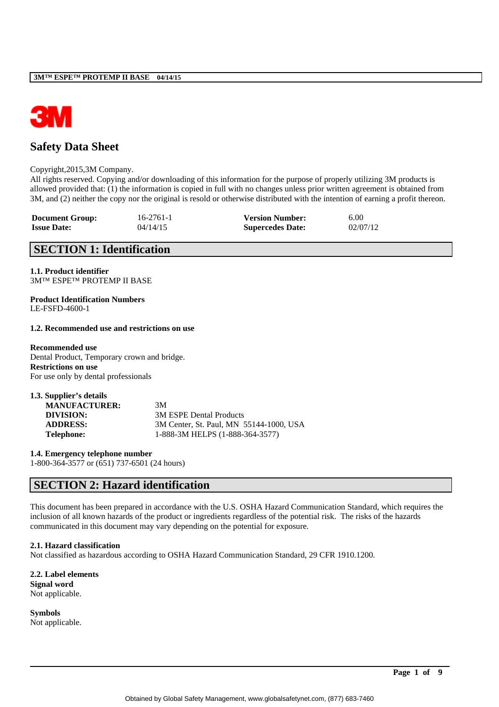

# **Safety Data Sheet**

#### Copyright,2015,3M Company.

All rights reserved. Copying and/or downloading of this information for the purpose of properly utilizing 3M products is allowed provided that: (1) the information is copied in full with no changes unless prior written agreement is obtained from 3M, and (2) neither the copy nor the original is resold or otherwise distributed with the intention of earning a profit thereon.

| <b>Document Group:</b> | 16-2761-1 | <b>Version Number:</b>  | 6.00     |
|------------------------|-----------|-------------------------|----------|
| <b>Issue Date:</b>     | 04/14/15  | <b>Supercedes Date:</b> | 02/07/12 |

# **SECTION 1: Identification**

**1.1. Product identifier** 3M™ ESPE™ PROTEMP II BASE

**Product Identification Numbers** LE-FSFD-4600-1

## **1.2. Recommended use and restrictions on use**

## **Recommended use**

Dental Product, Temporary crown and bridge. **Restrictions on use** For use only by dental professionals

| 1.3. Supplier's details |                                         |
|-------------------------|-----------------------------------------|
| <b>MANUFACTURER:</b>    | 3M                                      |
| DIVISION:               | 3M ESPE Dental Products                 |
| <b>ADDRESS:</b>         | 3M Center, St. Paul, MN 55144-1000, USA |
| <b>Telephone:</b>       | 1-888-3M HELPS (1-888-364-3577)         |

**1.4. Emergency telephone number** 1-800-364-3577 or (651) 737-6501 (24 hours)

# **SECTION 2: Hazard identification**

This document has been prepared in accordance with the U.S. OSHA Hazard Communication Standard, which requires the inclusion of all known hazards of the product or ingredients regardless of the potential risk. The risks of the hazards communicated in this document may vary depending on the potential for exposure.

# **2.1. Hazard classification**

Not classified as hazardous according to OSHA Hazard Communication Standard, 29 CFR 1910.1200.

**2.2. Label elements Signal word** Not applicable.

**Symbols** Not applicable.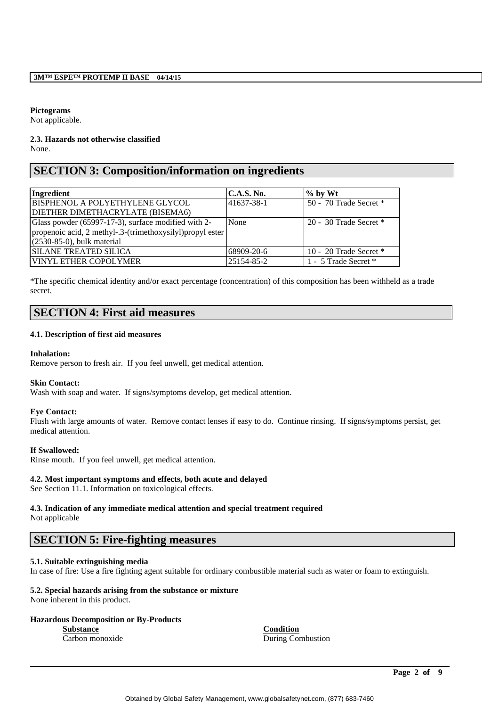## **Pictograms**

Not applicable.

#### **2.3. Hazards not otherwise classified** None.

# **SECTION 3: Composition/information on ingredients**

| Ingredient                                                | C.A.S. No. | $\%$ by Wt               |
|-----------------------------------------------------------|------------|--------------------------|
| BISPHENOL A POLYETHYLENE GLYCOL                           | 41637-38-1 | 50 - 70 Trade Secret $*$ |
| DIETHER DIMETHACRYLATE (BISEMA6)                          |            |                          |
| Glass powder (65997-17-3), surface modified with 2-       | None       | 20 - 30 Trade Secret $*$ |
| propenoic acid, 2 methyl-.3-(trimethoxysilyl)propyl ester |            |                          |
| $(2530-85-0)$ , bulk material                             |            |                          |
| <b>SILANE TREATED SILICA</b>                              | 68909-20-6 | 10 - 20 Trade Secret $*$ |
| VINYL ETHER COPOLYMER                                     | 25154-85-2 | 1 - 5 Trade Secret *     |

\*The specific chemical identity and/or exact percentage (concentration) of this composition has been withheld as a trade secret.

# **SECTION 4: First aid measures**

# **4.1. Description of first aid measures**

# **Inhalation:**

Remove person to fresh air. If you feel unwell, get medical attention.

# **Skin Contact:**

Wash with soap and water. If signs/symptoms develop, get medical attention.

#### **Eye Contact:**

Flush with large amounts of water. Remove contact lenses if easy to do. Continue rinsing. If signs/symptoms persist, get medical attention.

# **If Swallowed:**

Rinse mouth. If you feel unwell, get medical attention.

# **4.2. Most important symptoms and effects, both acute and delayed**

See Section 11.1. Information on toxicological effects.

# **4.3. Indication of any immediate medical attention and special treatment required**

Not applicable

# **SECTION 5: Fire-fighting measures**

# **5.1. Suitable extinguishing media**

In case of fire: Use a fire fighting agent suitable for ordinary combustible material such as water or foam to extinguish.

# **5.2. Special hazards arising from the substance or mixture**

None inherent in this product.

# **Hazardous Decomposition or By-Products**

**Substance Condition** Carbon monoxide During Combustion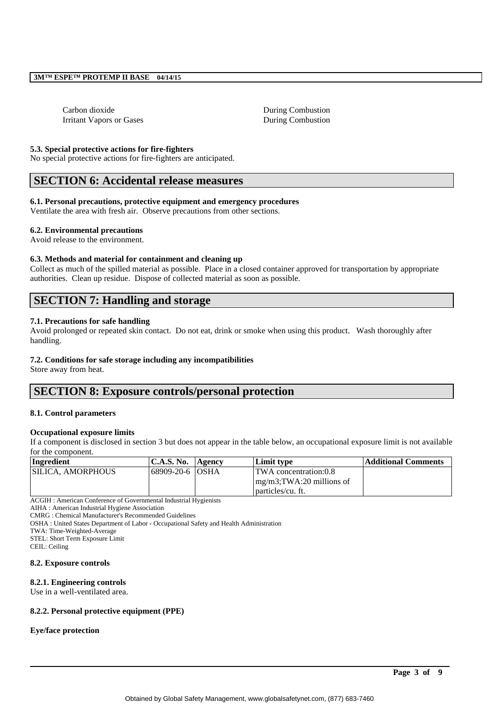Carbon dioxide During Combustion Irritant Vapors or Gases During Combustion

## **5.3. Special protective actions for fire-fighters**

No special protective actions for fire-fighters are anticipated.

# **SECTION 6: Accidental release measures**

#### **6.1. Personal precautions, protective equipment and emergency procedures**

Ventilate the area with fresh air. Observe precautions from other sections.

#### **6.2. Environmental precautions**

Avoid release to the environment.

#### **6.3. Methods and material for containment and cleaning up**

Collect as much of the spilled material as possible. Place in a closed container approved for transportation by appropriate authorities. Clean up residue. Dispose of collected material as soon as possible.

# **SECTION 7: Handling and storage**

## **7.1. Precautions for safe handling**

Avoid prolonged or repeated skin contact. Do not eat, drink or smoke when using this product. Wash thoroughly after handling.

#### **7.2. Conditions for safe storage including any incompatibilities**

Store away from heat.

# **SECTION 8: Exposure controls/personal protection**

#### **8.1. Control parameters**

#### **Occupational exposure limits**

If a component is disclosed in section 3 but does not appear in the table below, an occupational exposure limit is not available for the component.

| Ingredient                | <b>C.A.S. No.</b> | <b>Agency</b> | Limit type                    | Additional Comments |
|---------------------------|-------------------|---------------|-------------------------------|---------------------|
| <b>ISILICA. AMORPHOUS</b> | 68909-20-6 OSHA   |               | <b>TWA</b> concentration:0.8  |                     |
|                           |                   |               | $mg/m3$ ; TWA: 20 millions of |                     |
|                           |                   |               | particles/cu. ft.             |                     |
|                           |                   |               |                               |                     |

ACGIH : American Conference of Governmental Industrial Hygienists

AIHA : American Industrial Hygiene Association

CMRG : Chemical Manufacturer's Recommended Guidelines

OSHA : United States Department of Labor - Occupational Safety and Health Administration

TWA: Time-Weighted-Average

STEL: Short Term Exposure Limit

CEIL: Ceiling

#### **8.2. Exposure controls**

#### **8.2.1. Engineering controls**

Use in a well-ventilated area.

# **8.2.2. Personal protective equipment (PPE)**

#### **Eye/face protection**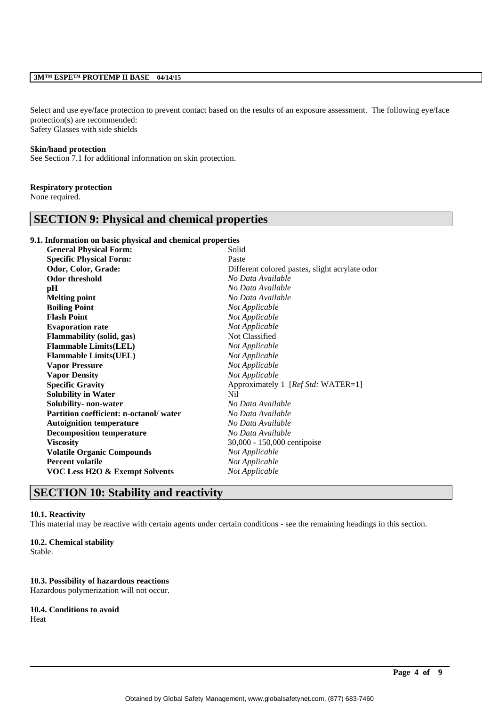## **3M™ ESPE™ PROTEMP II BASE 04/14/15**

Select and use eye/face protection to prevent contact based on the results of an exposure assessment. The following eye/face protection(s) are recommended: Safety Glasses with side shields

#### **Skin/hand protection**

See Section 7.1 for additional information on skin protection.

## **Respiratory protection**

None required.

# **SECTION 9: Physical and chemical properties**

#### **9.1. Information on basic physical and chemical properties**

| <b>General Physical Form:</b>             | Solid                                          |
|-------------------------------------------|------------------------------------------------|
| <b>Specific Physical Form:</b>            | Paste                                          |
| Odor, Color, Grade:                       | Different colored pastes, slight acrylate odor |
| <b>Odor threshold</b>                     | No Data Available                              |
| pH                                        | No Data Available                              |
| <b>Melting point</b>                      | No Data Available                              |
| <b>Boiling Point</b>                      | Not Applicable                                 |
| <b>Flash Point</b>                        | Not Applicable                                 |
| <b>Evaporation rate</b>                   | Not Applicable                                 |
| <b>Flammability (solid, gas)</b>          | Not Classified                                 |
| <b>Flammable Limits(LEL)</b>              | Not Applicable                                 |
| <b>Flammable Limits(UEL)</b>              | Not Applicable                                 |
| <b>Vapor Pressure</b>                     | Not Applicable                                 |
| <b>Vapor Density</b>                      | Not Applicable                                 |
| <b>Specific Gravity</b>                   | Approximately 1 [Ref Std: WATER=1]             |
| <b>Solubility in Water</b>                | Nil                                            |
| Solubility- non-water                     | No Data Available                              |
| Partition coefficient: n-octanol/water    | No Data Available                              |
| <b>Autoignition temperature</b>           | No Data Available                              |
| <b>Decomposition temperature</b>          | No Data Available                              |
| <b>Viscosity</b>                          | 30,000 - 150,000 centipoise                    |
| <b>Volatile Organic Compounds</b>         | Not Applicable                                 |
| <b>Percent volatile</b>                   | Not Applicable                                 |
| <b>VOC Less H2O &amp; Exempt Solvents</b> | Not Applicable                                 |
|                                           |                                                |

# **SECTION 10: Stability and reactivity**

#### **10.1. Reactivity**

This material may be reactive with certain agents under certain conditions - see the remaining headings in this section.

#### **10.2. Chemical stability**

Stable.

#### **10.3. Possibility of hazardous reactions**

Hazardous polymerization will not occur.

**10.4. Conditions to avoid** Heat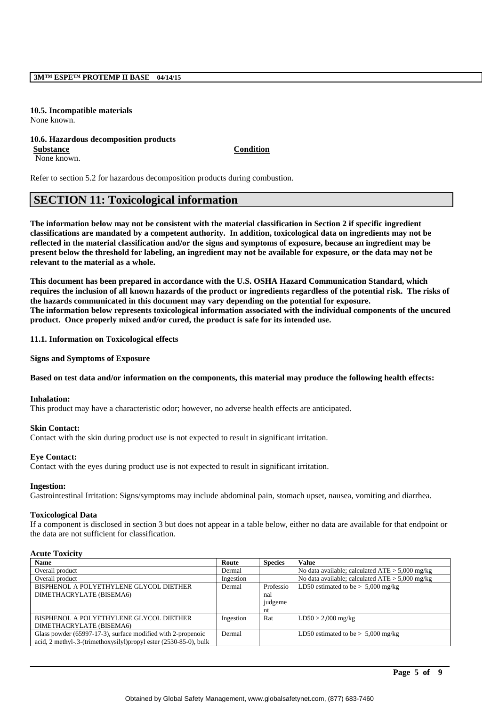#### **10.5. Incompatible materials** None known.

#### **10.6. Hazardous decomposition products Substance Condition**

None known.

Refer to section 5.2 for hazardous decomposition products during combustion.

# **SECTION 11: Toxicological information**

**The information below may not be consistent with the material classification in Section 2 if specific ingredient classifications are mandated by a competent authority. In addition, toxicological data on ingredients may not be reflected in the material classification and/or the signs and symptoms of exposure, because an ingredient may be present below the threshold for labeling, an ingredient may not be available for exposure, or the data may not be relevant to the material as a whole.**

**This document has been prepared in accordance with the U.S. OSHA Hazard Communication Standard, which requires the inclusion of all known hazards of the product or ingredients regardless of the potential risk. The risks of the hazards communicated in this document may vary depending on the potential for exposure. The information below represents toxicological information associated with the individual components of the uncured product. Once properly mixed and/or cured, the product is safe for its intended use.**

**11.1. Information on Toxicological effects**

**Signs and Symptoms of Exposure**

# **Based on test data and/or information on the components, this material may produce the following health effects:**

#### **Inhalation:**

This product may have a characteristic odor; however, no adverse health effects are anticipated.

#### **Skin Contact:**

Contact with the skin during product use is not expected to result in significant irritation.

# **Eye Contact:**

Contact with the eyes during product use is not expected to result in significant irritation.

#### **Ingestion:**

Gastrointestinal Irritation: Signs/symptoms may include abdominal pain, stomach upset, nausea, vomiting and diarrhea.

#### **Toxicological Data**

If a component is disclosed in section 3 but does not appear in a table below, either no data are available for that endpoint or the data are not sufficient for classification.

## **Acute Toxicity**

| <b>Name</b>                                                       | Route     | <b>Species</b> | <b>Value</b>                                      |
|-------------------------------------------------------------------|-----------|----------------|---------------------------------------------------|
| Overall product                                                   | Dermal    |                | No data available; calculated $ATE > 5,000$ mg/kg |
| Overall product                                                   | Ingestion |                | No data available; calculated $ATE > 5,000$ mg/kg |
| BISPHENOL A POLYETHYLENE GLYCOL DIETHER                           | Dermal    | Professio      | LD50 estimated to be $> 5,000$ mg/kg              |
| DIMETHACRYLATE (BISEMA6)                                          |           | nal            |                                                   |
|                                                                   |           | judgeme        |                                                   |
|                                                                   |           | nt             |                                                   |
| BISPHENOL A POLYETHYLENE GLYCOL DIETHER                           | Ingestion | Rat            | $LD50 > 2,000$ mg/kg                              |
| DIMETHACRYLATE (BISEMA6)                                          |           |                |                                                   |
| Glass powder (65997-17-3), surface modified with 2-propenoic      | Dermal    |                | LD50 estimated to be $> 5,000$ mg/kg              |
| acid, 2 methyl-.3-(trimethoxysilyl)propyl ester (2530-85-0), bulk |           |                |                                                   |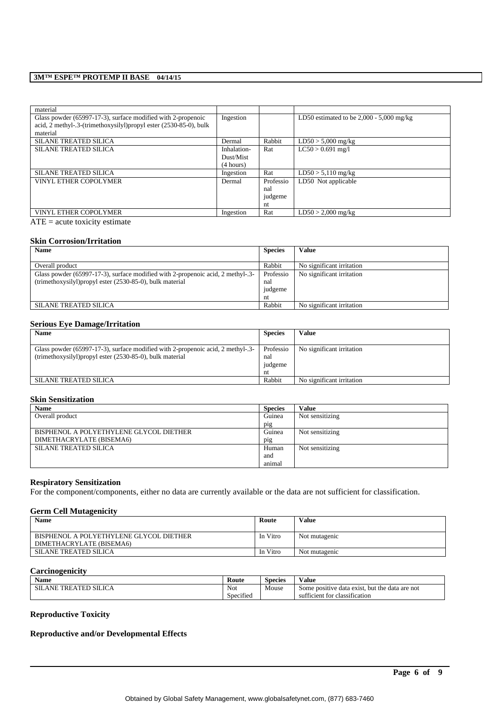## **3M™ ESPE™ PROTEMP II BASE 04/14/15**

| material                                                          |             |           |                                            |
|-------------------------------------------------------------------|-------------|-----------|--------------------------------------------|
| Glass powder (65997-17-3), surface modified with 2-propenoic      | Ingestion   |           | LD50 estimated to be $2,000 - 5,000$ mg/kg |
| acid, 2 methyl-.3-(trimethoxysilyl)propyl ester (2530-85-0), bulk |             |           |                                            |
| material                                                          |             |           |                                            |
| <b>SILANE TREATED SILICA</b>                                      | Dermal      | Rabbit    | $LD50 > 5,000$ mg/kg                       |
| <b>SILANE TREATED SILICA</b>                                      | Inhalation- | Rat       | $LC50 > 0.691$ mg/l                        |
|                                                                   | Dust/Mist   |           |                                            |
|                                                                   | (4 hours)   |           |                                            |
| <b>SILANE TREATED SILICA</b>                                      | Ingestion   | Rat       | $LD50 > 5,110$ mg/kg                       |
| VINYL ETHER COPOLYMER                                             | Dermal      | Professio | LD50 Not applicable                        |
|                                                                   |             | nal       |                                            |
|                                                                   |             | judgeme   |                                            |
|                                                                   |             | nt        |                                            |
| <b>VINYL ETHER COPOLYMER</b>                                      | Ingestion   | Rat       | $LD50 > 2.000$ mg/kg                       |

 $ATE = acute toxicity estimate$ 

#### **Skin Corrosion/Irritation**

| <b>Name</b>                                                                     | <b>Species</b> | <b>Value</b>              |
|---------------------------------------------------------------------------------|----------------|---------------------------|
|                                                                                 |                |                           |
| Overall product                                                                 | Rabbit         | No significant irritation |
| Glass powder (65997-17-3), surface modified with 2-propenoic acid, 2 methyl-.3- | Professio      | No significant irritation |
| (trimethoxysilyl) propyl ester (2530-85-0), bulk material                       | nal            |                           |
|                                                                                 | judgeme        |                           |
|                                                                                 | nt             |                           |
| <b>SILANE TREATED SILICA</b>                                                    | Rabbit         | No significant irritation |

## **Serious Eye Damage/Irritation**

| <b>Name</b>                                                                     | <b>Species</b> | Value                     |
|---------------------------------------------------------------------------------|----------------|---------------------------|
|                                                                                 |                |                           |
| Glass powder (65997-17-3), surface modified with 2-propenoic acid, 2 methyl-.3- | Professio      | No significant irritation |
| (trimethoxysilyl)propyl ester (2530-85-0), bulk material                        | nal            |                           |
|                                                                                 | judgeme        |                           |
|                                                                                 | nt             |                           |
| <b>SILANE TREATED SILICA</b>                                                    | Rabbit         | No significant irritation |

## **Skin Sensitization**

| <b>Name</b>                             | <b>Species</b> | Value           |
|-----------------------------------------|----------------|-----------------|
| Overall product                         | Guinea         | Not sensitizing |
|                                         | pig            |                 |
| BISPHENOL A POLYETHYLENE GLYCOL DIETHER | Guinea         | Not sensitizing |
| DIMETHACRYLATE (BISEMA6)                | pig            |                 |
| <b>SILANE TREATED SILICA</b>            | Human          | Not sensitizing |
|                                         | and            |                 |
|                                         | animal         |                 |

## **Respiratory Sensitization**

For the component/components, either no data are currently available or the data are not sufficient for classification.

## **Germ Cell Mutagenicity**

| <b>Name</b>                                                         | Route    | Value         |
|---------------------------------------------------------------------|----------|---------------|
| BISPHENOL A POLYETHYLENE GLYCOL DIETHER<br>DIMETHACRYLATE (BISEMA6) | In Vitro | Not mutagenic |
| SILANE TREATED SILICA                                               | In Vitro | Not mutagenic |

# **Carcinogenicity**

| Name                                | Route                                 | $\sim$<br>Species | -- -<br>Value                                  |
|-------------------------------------|---------------------------------------|-------------------|------------------------------------------------|
| TREATED SILICA<br>SΠ.<br><b>ANE</b> | Not                                   | Mouse             | Some positive data exist, but the data are not |
|                                     | $\cdot$ $\sim$<br>$\sim$<br>Specified |                   | sufficient for classification                  |

\_\_\_\_\_\_\_\_\_\_\_\_\_\_\_\_\_\_\_\_\_\_\_\_\_\_\_\_\_\_\_\_\_\_\_\_\_\_\_\_\_\_\_\_\_\_\_\_\_\_\_\_\_\_\_\_\_\_\_\_\_\_\_\_\_\_\_\_\_\_\_\_\_\_\_\_\_\_\_\_\_\_\_\_\_\_\_\_\_\_

## **Reproductive Toxicity**

# **Reproductive and/or Developmental Effects**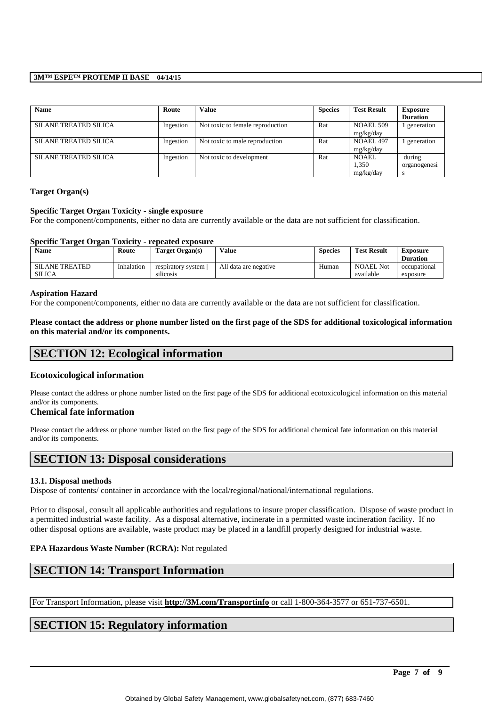## **3M™ ESPE™ PROTEMP II BASE 04/14/15**

| <b>Name</b>                  | Route     | <b>Value</b>                     | <b>Species</b> | <b>Test Result</b>                 | <b>Exposure</b><br><b>Duration</b> |
|------------------------------|-----------|----------------------------------|----------------|------------------------------------|------------------------------------|
| SILANE TREATED SILICA        | Ingestion | Not toxic to female reproduction | Rat            | NOAEL 509<br>mg/kg/day             | generation                         |
| SILANE TREATED SILICA        | Ingestion | Not toxic to male reproduction   | Rat            | NOAEL 497<br>mg/kg/day             | generation                         |
| <b>SILANE TREATED SILICA</b> | Ingestion | Not toxic to development         | Rat            | <b>NOAEL</b><br>1,350<br>mg/kg/day | during<br>organogenesi             |

# **Target Organ(s)**

## **Specific Target Organ Toxicity - single exposure**

For the component/components, either no data are currently available or the data are not sufficient for classification.

#### **Specific Target Organ Toxicity - repeated exposure**

| <b>Name</b>           | Route      | Target Organ(s)    | Value                 | <b>Species</b> | <b>Test Result</b> | Exposure<br><b>Duration</b> |
|-----------------------|------------|--------------------|-----------------------|----------------|--------------------|-----------------------------|
| <b>SILANE TREATED</b> | Inhalation | respiratory system | All data are negative | Human          | <b>NOAEL Not</b>   | occupational                |
| <b>SILICA</b>         |            | <br>silicosis      |                       |                | available          | exposure                    |

#### **Aspiration Hazard**

For the component/components, either no data are currently available or the data are not sufficient for classification.

**Please contact the address or phone number listed on the first page of the SDS for additional toxicological information on this material and/or its components.**

# **SECTION 12: Ecological information**

# **Ecotoxicological information**

Please contact the address or phone number listed on the first page of the SDS for additional ecotoxicological information on this material and/or its components.

#### **Chemical fate information**

Please contact the address or phone number listed on the first page of the SDS for additional chemical fate information on this material and/or its components.

# **SECTION 13: Disposal considerations**

#### **13.1. Disposal methods**

Dispose of contents/ container in accordance with the local/regional/national/international regulations.

Prior to disposal, consult all applicable authorities and regulations to insure proper classification. Dispose of waste product in a permitted industrial waste facility. As a disposal alternative, incinerate in a permitted waste incineration facility. If no other disposal options are available, waste product may be placed in a landfill properly designed for industrial waste.

# **EPA Hazardous Waste Number (RCRA):** Not regulated

# **SECTION 14: Transport Information**

For Transport Information, please visit **http://3M.com/Transportinfo** or call 1-800-364-3577 or 651-737-6501.

# **SECTION 15: Regulatory information**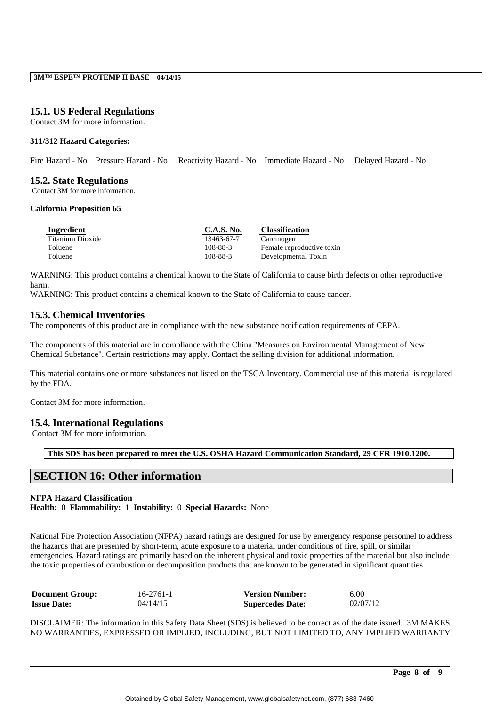# **15.1. US Federal Regulations**

Contact 3M for more information.

## **311/312 Hazard Categories:**

Fire Hazard - No Pressure Hazard - No Reactivity Hazard - No Immediate Hazard - No Delayed Hazard - No

# **15.2. State Regulations**

Contact 3M for more information.

#### **California Proposition 65**

| Ingredient       | C.A.S. No. | <b>Classification</b>     |
|------------------|------------|---------------------------|
| Titanium Dioxide | 13463-67-7 | Carcinogen                |
| Toluene          | 108-88-3   | Female reproductive toxin |
| Toluene          | 108-88-3   | Developmental Toxin       |

WARNING: This product contains a chemical known to the State of California to cause birth defects or other reproductive harm.

WARNING: This product contains a chemical known to the State of California to cause cancer.

# **15.3. Chemical Inventories**

The components of this product are in compliance with the new substance notification requirements of CEPA.

The components of this material are in compliance with the China "Measures on Environmental Management of New Chemical Substance". Certain restrictions may apply. Contact the selling division for additional information.

This material contains one or more substances not listed on the TSCA Inventory. Commercial use of this material is regulated by the FDA.

Contact 3M for more information.

# **15.4. International Regulations**

Contact 3M for more information.

**This SDS has been prepared to meet the U.S. OSHA Hazard Communication Standard, 29 CFR 1910.1200.**

# **SECTION 16: Other information**

#### **NFPA Hazard Classification**

**Health:** 0 **Flammability:** 1 **Instability:** 0 **Special Hazards:** None

National Fire Protection Association (NFPA) hazard ratings are designed for use by emergency response personnel to address the hazards that are presented by short-term, acute exposure to a material under conditions of fire, spill, or similar emergencies. Hazard ratings are primarily based on the inherent physical and toxic properties of the material but also include the toxic properties of combustion or decomposition products that are known to be generated in significant quantities.

| <b>Document Group:</b> | $16 - 2761 - 1$ | <b>Version Number:</b>  | 6.00     |
|------------------------|-----------------|-------------------------|----------|
| <b>Issue Date:</b>     | 04/14/15        | <b>Supercedes Date:</b> | 02/07/12 |

DISCLAIMER: The information in this Safety Data Sheet (SDS) is believed to be correct as of the date issued. 3M MAKES NO WARRANTIES, EXPRESSED OR IMPLIED, INCLUDING, BUT NOT LIMITED TO, ANY IMPLIED WARRANTY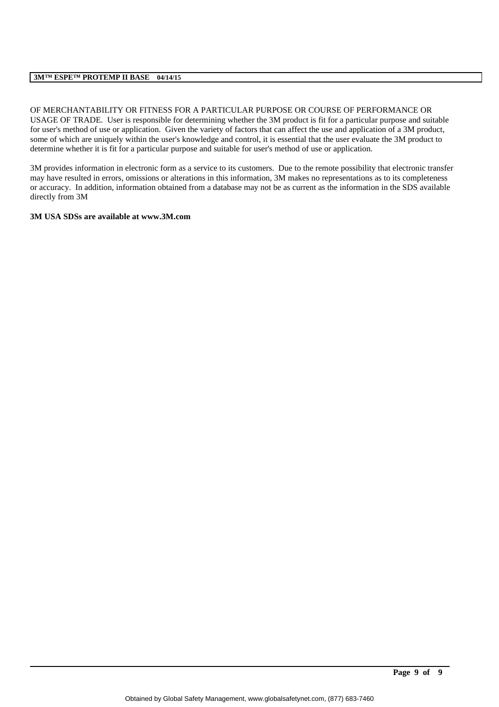# **3M™ ESPE™ PROTEMP II BASE 04/14/15**

OF MERCHANTABILITY OR FITNESS FOR A PARTICULAR PURPOSE OR COURSE OF PERFORMANCE OR USAGE OF TRADE. User is responsible for determining whether the 3M product is fit for a particular purpose and suitable for user's method of use or application. Given the variety of factors that can affect the use and application of a 3M product, some of which are uniquely within the user's knowledge and control, it is essential that the user evaluate the 3M product to determine whether it is fit for a particular purpose and suitable for user's method of use or application.

3M provides information in electronic form as a service to its customers. Due to the remote possibility that electronic transfer may have resulted in errors, omissions or alterations in this information, 3M makes no representations as to its completeness or accuracy. In addition, information obtained from a database may not be as current as the information in the SDS available directly from 3M

# **3M USA SDSs are available at www.3M.com**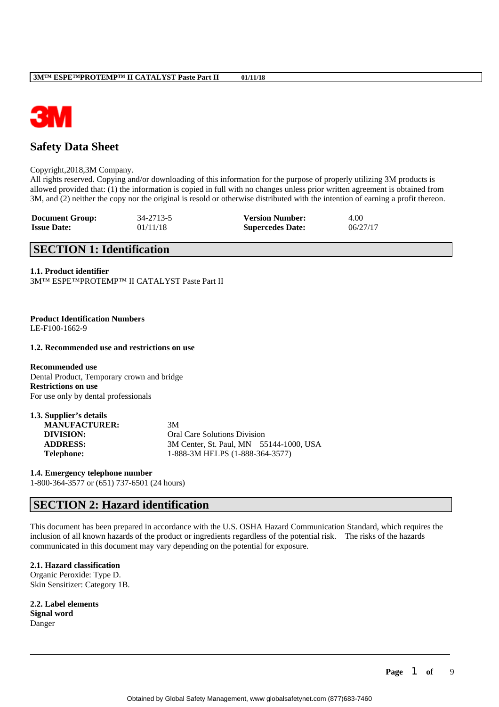

# **Safety Data Sheet**

#### Copyright,2018,3M Company.

All rights reserved. Copying and/or downloading of this information for the purpose of properly utilizing 3M products is allowed provided that: (1) the information is copied in full with no changes unless prior written agreement is obtained from 3M, and (2) neither the copy nor the original is resold or otherwise distributed with the intention of earning a profit thereon.

| <b>Document Group:</b> | 34-2713-5 | <b>Version Number:</b>  | 4.00     |
|------------------------|-----------|-------------------------|----------|
| <b>Issue Date:</b>     | 01/11/18  | <b>Supercedes Date:</b> | 06/27/17 |

# **SECTION 1: Identification**

#### **1.1. Product identifier**

3M™ ESPE™PROTEMP™ II CATALYST Paste Part II

**Product Identification Numbers** LE-F100-1662-9

# **1.2. Recommended use and restrictions on use**

**Recommended use** Dental Product, Temporary crown and bridge **Restrictions on use** For use only by dental professionals

**1.3. Supplier's details**

| <b>MANUFACTURER:</b> | 3M                                      |                                     |  |
|----------------------|-----------------------------------------|-------------------------------------|--|
| DIVISION:            |                                         | <b>Oral Care Solutions Division</b> |  |
| <b>ADDRESS:</b>      | 3M Center, St. Paul, MN 55144-1000, USA |                                     |  |
| <b>Telephone:</b>    |                                         | 1-888-3M HELPS (1-888-364-3577)     |  |

#### **1.4. Emergency telephone number**

1-800-364-3577 or (651) 737-6501 (24 hours)

# **SECTION 2: Hazard identification**

This document has been prepared in accordance with the U.S. OSHA Hazard Communication Standard, which requires the inclusion of all known hazards of the product or ingredients regardless of the potential risk. The risks of the hazards communicated in this document may vary depending on the potential for exposure.

#### **2.1. Hazard classification**

Organic Peroxide: Type D. Skin Sensitizer: Category 1B.

**2.2. Label elements Signal word** Danger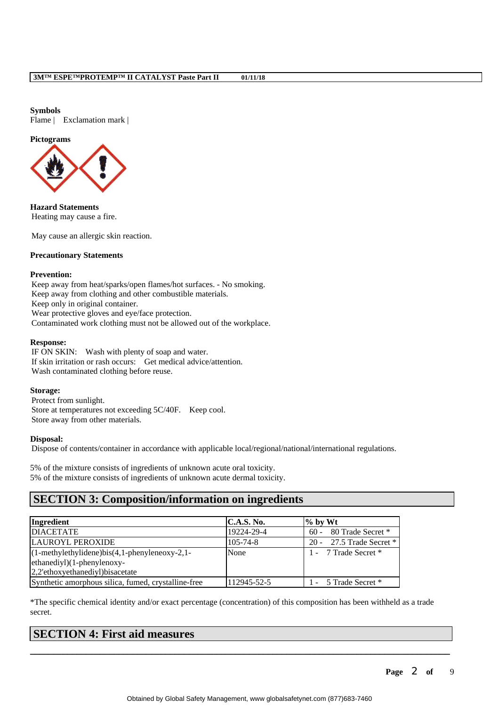**Symbols** Flame | Exclamation mark |

# **Pictograms**



**Hazard Statements** Heating may cause a fire.

May cause an allergic skin reaction.

## **Precautionary Statements**

#### **Prevention:**

Keep away from heat/sparks/open flames/hot surfaces. - No smoking. Keep away from clothing and other combustible materials. Keep only in original container. Wear protective gloves and eye/face protection. Contaminated work clothing must not be allowed out of the workplace.

## **Response:**

IF ON SKIN: Wash with plenty of soap and water. If skin irritation or rash occurs: Get medical advice/attention. Wash contaminated clothing before reuse.

#### **Storage:**

Protect from sunlight. Store at temperatures not exceeding 5C/40F. Keep cool. Store away from other materials.

#### **Disposal:**

Dispose of contents/container in accordance with applicable local/regional/national/international regulations.

5% of the mixture consists of ingredients of unknown acute oral toxicity. 5% of the mixture consists of ingredients of unknown acute dermal toxicity.

# **SECTION 3: Composition/information on ingredients**

| Ingredient                                           | C.A.S. No.     | $\%$ by Wt                  |
|------------------------------------------------------|----------------|-----------------------------|
| <b>DIACETATE</b>                                     | 19224-29-4     | 80 Trade Secret *<br>$60 -$ |
| LAUROYL PEROXIDE                                     | $105 - 74 - 8$ | 20 - 27.5 Trade Secret $*$  |
| $(1$ -methylethylidene)bis $(4,1$ -phenyleneoxy-2,1- | None           | 1 - 7 Trade Secret *        |
| $[ethanediy]$ $(1$ -phenylenoxy-                     |                |                             |
| 2,2'ethoxyethanediyl)bisacetate                      |                |                             |
| Synthetic amorphous silica, fumed, crystalline-free  | 112945-52-5    | 1 - 5 Trade Secret *        |

\*The specific chemical identity and/or exact percentage (concentration) of this composition has been withheld as a trade secret.

\_\_\_\_\_\_\_\_\_\_\_\_\_\_\_\_\_\_\_\_\_\_\_\_\_\_\_\_\_\_\_\_\_\_\_\_\_\_\_\_\_\_\_\_\_\_\_\_\_\_\_\_\_\_\_\_\_\_\_\_\_\_\_\_\_\_\_\_\_\_\_\_\_\_\_\_\_\_\_\_\_\_\_\_\_\_\_\_\_\_

# **SECTION 4: First aid measures**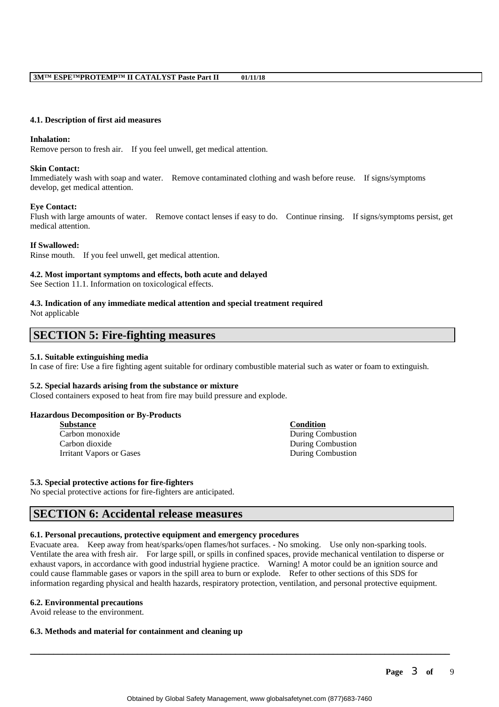#### **4.1. Description of first aid measures**

#### **Inhalation:**

Remove person to fresh air. If you feel unwell, get medical attention.

#### **Skin Contact:**

Immediately wash with soap and water. Remove contaminated clothing and wash before reuse. If signs/symptoms develop, get medical attention.

## **Eye Contact:**

Flush with large amounts of water. Remove contact lenses if easy to do. Continue rinsing. If signs/symptoms persist, get medical attention.

## **If Swallowed:**

Rinse mouth. If you feel unwell, get medical attention.

## **4.2. Most important symptoms and effects, both acute and delayed**

See Section 11.1. Information on toxicological effects.

#### **4.3. Indication of any immediate medical attention and special treatment required** Not applicable

# **SECTION 5: Fire-fighting measures**

#### **5.1. Suitable extinguishing media**

In case of fire: Use a fire fighting agent suitable for ordinary combustible material such as water or foam to extinguish.

#### **5.2. Special hazards arising from the substance or mixture**

Closed containers exposed to heat from fire may build pressure and explode.

#### **Hazardous Decomposition or By-Products**

| Substance                | <b>Condition</b>  |
|--------------------------|-------------------|
| Carbon monoxide          | During Combustion |
| Carbon dioxide           | During Combustion |
| Irritant Vapors or Gases | During Combustion |
|                          |                   |

#### **5.3. Special protective actions for fire-fighters**

No special protective actions for fire-fighters are anticipated.

# **SECTION 6: Accidental release measures**

#### **6.1. Personal precautions, protective equipment and emergency procedures**

Evacuate area. Keep away from heat/sparks/open flames/hot surfaces. - No smoking. Use only non-sparking tools. Ventilate the area with fresh air. For large spill, or spills in confined spaces, provide mechanical ventilation to disperse or exhaust vapors, in accordance with good industrial hygiene practice. Warning! A motor could be an ignition source and could cause flammable gases or vapors in the spill area to burn or explode. Refer to other sections of this SDS for information regarding physical and health hazards, respiratory protection, ventilation, and personal protective equipment.

\_\_\_\_\_\_\_\_\_\_\_\_\_\_\_\_\_\_\_\_\_\_\_\_\_\_\_\_\_\_\_\_\_\_\_\_\_\_\_\_\_\_\_\_\_\_\_\_\_\_\_\_\_\_\_\_\_\_\_\_\_\_\_\_\_\_\_\_\_\_\_\_\_\_\_\_\_\_\_\_\_\_\_\_\_\_\_\_\_\_

#### **6.2. Environmental precautions**

Avoid release to the environment.

# **6.3. Methods and material for containment and cleaning up**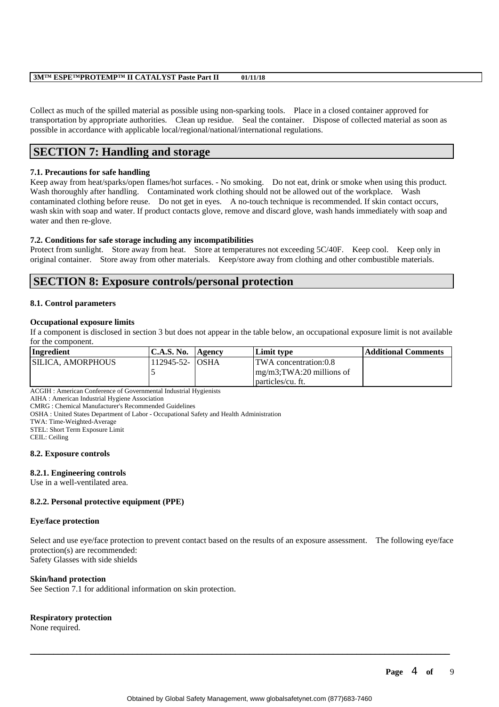Collect as much of the spilled material as possible using non-sparking tools. Place in a closed container approved for transportation by appropriate authorities. Clean up residue. Seal the container. Dispose of collected material as soon as possible in accordance with applicable local/regional/national/international regulations.

# **SECTION 7: Handling and storage**

# **7.1. Precautions for safe handling**

Keep away from heat/sparks/open flames/hot surfaces. - No smoking. Do not eat, drink or smoke when using this product. Wash thoroughly after handling. Contaminated work clothing should not be allowed out of the workplace. Wash contaminated clothing before reuse. Do not get in eyes. A no-touch technique is recommended. If skin contact occurs, wash skin with soap and water. If product contacts glove, remove and discard glove, wash hands immediately with soap and water and then re-glove.

# **7.2. Conditions for safe storage including any incompatibilities**

Protect from sunlight. Store away from heat. Store at temperatures not exceeding  $5C/40F$ . Keep cool. Keep only in original container. Store away from other materials. Keep/store away from clothing and other combustible materials.

# **SECTION 8: Exposure controls/personal protection**

# **8.1. Control parameters**

## **Occupational exposure limits**

If a component is disclosed in section 3 but does not appear in the table below, an occupational exposure limit is not available for the component.

| Ingredient         | C.A.S. No.       | Agency | Limit tvpe                            | Additional Comments |
|--------------------|------------------|--------|---------------------------------------|---------------------|
| ISILICA. AMORPHOUS | 112945-52- IOSHA |        | <b>TWA</b> concentration:0.8          |                     |
|                    |                  |        | $\frac{mg}{m3}$ ; TWA: 20 millions of |                     |
|                    |                  |        | particles/cu. ft.                     |                     |

ACGIH : American Conference of Governmental Industrial Hygienists

AIHA : American Industrial Hygiene Association

CMRG : Chemical Manufacturer's Recommended Guidelines

OSHA : United States Department of Labor - Occupational Safety and Health Administration

TWA: Time-Weighted-Average

STEL: Short Term Exposure Limit

CEIL: Ceiling

# **8.2. Exposure controls**

# **8.2.1. Engineering controls**

Use in a well-ventilated area.

# **8.2.2. Personal protective equipment (PPE)**

#### **Eye/face protection**

Select and use eye/face protection to prevent contact based on the results of an exposure assessment. The following eye/face protection(s) are recommended: Safety Glasses with side shields

# **Skin/hand protection**

See Section 7.1 for additional information on skin protection.

# **Respiratory protection**

None required.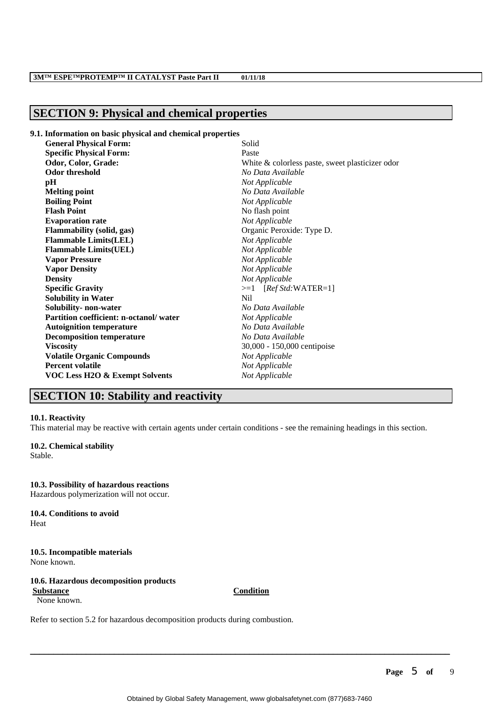# **SECTION 9: Physical and chemical properties**

## **9.1. Information on basic physical and chemical properties**

| <b>General Physical Form:</b>          | Solid                                           |
|----------------------------------------|-------------------------------------------------|
| <b>Specific Physical Form:</b>         | Paste                                           |
| Odor, Color, Grade:                    | White & colorless paste, sweet plasticizer odor |
| Odor threshold                         | No Data Available                               |
| pН                                     | Not Applicable                                  |
| <b>Melting point</b>                   | No Data Available                               |
| <b>Boiling Point</b>                   | Not Applicable                                  |
| <b>Flash Point</b>                     | No flash point                                  |
| <b>Evaporation rate</b>                | Not Applicable                                  |
| <b>Flammability</b> (solid, gas)       | Organic Peroxide: Type D.                       |
| <b>Flammable Limits(LEL)</b>           | Not Applicable                                  |
| <b>Flammable Limits(UEL)</b>           | Not Applicable                                  |
| <b>Vapor Pressure</b>                  | Not Applicable                                  |
| <b>Vapor Density</b>                   | Not Applicable                                  |
| <b>Density</b>                         | Not Applicable                                  |
| <b>Specific Gravity</b>                | $>=1$ [ <i>Ref Std</i> :WATER=1]                |
| <b>Solubility in Water</b>             | Nil                                             |
| Solubility- non-water                  | No Data Available                               |
| Partition coefficient: n-octanol/water | Not Applicable                                  |
| <b>Autoignition temperature</b>        | No Data Available                               |
| <b>Decomposition temperature</b>       | No Data Available                               |
| <b>Viscosity</b>                       | 30,000 - 150,000 centipoise                     |
| <b>Volatile Organic Compounds</b>      | Not Applicable                                  |
| <b>Percent volatile</b>                | Not Applicable                                  |
| VOC Less H2O & Exempt Solvents         | Not Applicable                                  |
|                                        |                                                 |

# **SECTION 10: Stability and reactivity**

#### **10.1. Reactivity**

This material may be reactive with certain agents under certain conditions - see the remaining headings in this section.

# **10.2. Chemical stability**

Stable.

**10.3. Possibility of hazardous reactions** Hazardous polymerization will not occur.

#### **10.4. Conditions to avoid** Heat

# **10.5. Incompatible materials** None known.

#### **10.6. Hazardous decomposition products Substance Condition** None known.

Refer to section 5.2 for hazardous decomposition products during combustion.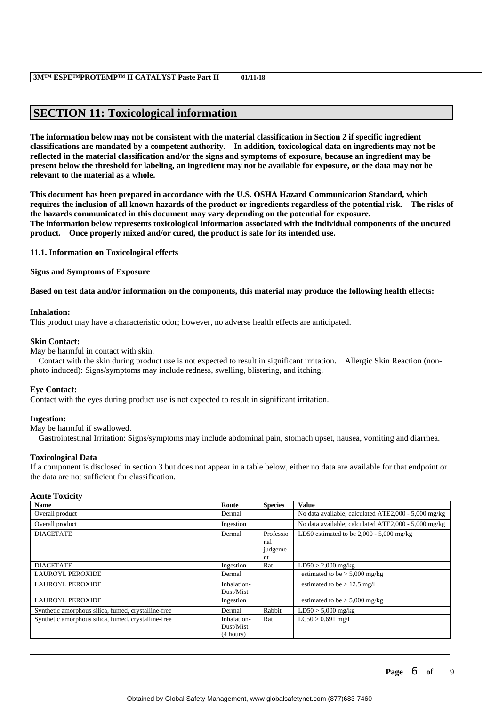# **SECTION 11: Toxicological information**

**The information below may not be consistent with the material classification in Section 2 if specific ingredient classifications are mandated by a competent authority. In addition, toxicological data on ingredients may not be reflected in the material classification and/or the signs and symptoms of exposure, because an ingredient may be present below the threshold for labeling, an ingredient may not be available for exposure, or the data may not be relevant to the material as a whole.**

**This document has been prepared in accordance with the U.S. OSHA Hazard Communication Standard, which requires the inclusion of all known hazards of the product or ingredients regardless of the potential risk. The risks of the hazards communicated in this document may vary depending on the potential for exposure. The information below represents toxicological information associated with the individual components of the uncured product. Once properly mixed and/or cured, the product is safe for its intended use.**

**11.1. Information on Toxicological effects**

**Signs and Symptoms of Exposure**

**Based on test data and/or information on the components, this material may produce the following health effects:**

## **Inhalation:**

This product may have a characteristic odor; however, no adverse health effects are anticipated.

## **Skin Contact:**

May be harmful in contact with skin.

 Contact with the skin during product use is not expected to result in significant irritation. Allergic Skin Reaction (nonphoto induced): Signs/symptoms may include redness, swelling, blistering, and itching.

# **Eye Contact:**

Contact with the eyes during product use is not expected to result in significant irritation.

# **Ingestion:**

May be harmful if swallowed.

Gastrointestinal Irritation: Signs/symptoms may include abdominal pain, stomach upset, nausea, vomiting and diarrhea.

# **Toxicological Data**

If a component is disclosed in section 3 but does not appear in a table below, either no data are available for that endpoint or the data are not sufficient for classification.

#### **Acute Toxicity**

| <b>Name</b>                                         | Route                                 | <b>Species</b>                    | <b>Value</b>                                         |
|-----------------------------------------------------|---------------------------------------|-----------------------------------|------------------------------------------------------|
| Overall product                                     | Dermal                                |                                   | No data available; calculated ATE2,000 - 5,000 mg/kg |
| Overall product                                     | Ingestion                             |                                   | No data available; calculated ATE2,000 - 5,000 mg/kg |
| <b>DIACETATE</b>                                    | Dermal                                | Professio<br>nal<br>judgeme<br>nt | LD50 estimated to be $2,000 - 5,000$ mg/kg           |
| <b>DIACETATE</b>                                    | Ingestion                             | Rat                               | $LD50 > 2,000$ mg/kg                                 |
| <b>LAUROYL PEROXIDE</b>                             | Dermal                                |                                   | estimated to be $> 5,000$ mg/kg                      |
| <b>LAUROYL PEROXIDE</b>                             | Inhalation-<br>Dust/Mist              |                                   | estimated to be $> 12.5$ mg/l                        |
| <b>LAUROYL PEROXIDE</b>                             | Ingestion                             |                                   | estimated to be $> 5,000$ mg/kg                      |
| Synthetic amorphous silica, fumed, crystalline-free | Dermal                                | Rabbit                            | $LD50 > 5,000$ mg/kg                                 |
| Synthetic amorphous silica, fumed, crystalline-free | Inhalation-<br>Dust/Mist<br>(4 hours) | Rat                               | $LC50 > 0.691$ mg/l                                  |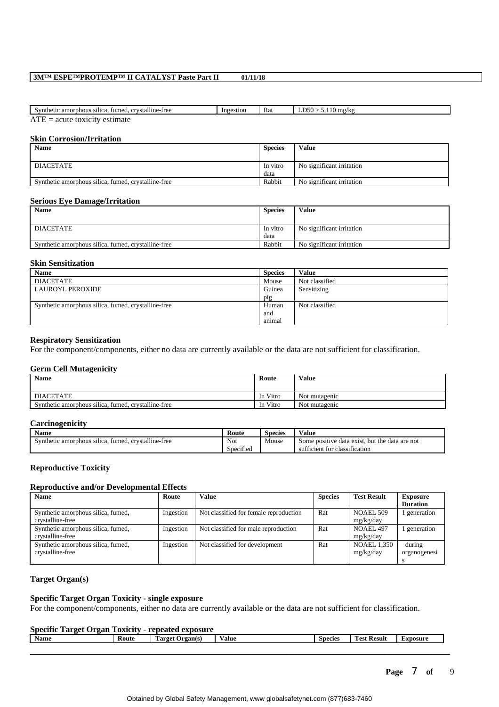| $\cdots$<br>fumed, crystalline-free<br>Synthetic<br>: amorphous<br>silica. | Ingestion | Rat | E <sub>0</sub><br>. .<br>mg/kg<br>וכני.<br>$\sim$ |
|----------------------------------------------------------------------------|-----------|-----|---------------------------------------------------|
| <b>The Second</b><br>estimate<br>A1C1F<br>A1L<br>nuu                       |           |     |                                                   |

**Skin Corrosion/Irritation**

| <b>Name</b>                                         | <b>Species</b>   | Value                     |
|-----------------------------------------------------|------------------|---------------------------|
| <b>DIACETATE</b>                                    | In vitro<br>data | No significant irritation |
| Synthetic amorphous silica, fumed, crystalline-free | Rabbit           | No significant irritation |

#### **Serious Eye Damage/Irritation**

| <b>Name</b>                                         | <b>Species</b> | Value                     |
|-----------------------------------------------------|----------------|---------------------------|
| DIACETATE                                           | In vitro       | No significant irritation |
|                                                     |                |                           |
| Synthetic amorphous silica, fumed, crystalline-free | Rabbit         | No significant irritation |
|                                                     | data           |                           |

#### **Skin Sensitization**

| <b>Name</b>                                         | <b>Species</b> | <b>Value</b>   |
|-----------------------------------------------------|----------------|----------------|
| DIACETATE                                           | Mouse          | Not classified |
| LAUROYL PEROXIDE                                    | Guinea         | Sensitizing    |
|                                                     | pig            |                |
| Synthetic amorphous silica, fumed, crystalline-free | Human          | Not classified |
|                                                     | and            |                |
|                                                     | animal         |                |

## **Respiratory Sensitization**

For the component/components, either no data are currently available or the data are not sufficient for classification.

#### **Germ Cell Mutagenicity**

| Name                                                | Route    | Value         |
|-----------------------------------------------------|----------|---------------|
| <b>DIACETATE</b>                                    | In Vitro | Not mutagenic |
| Synthetic amorphous silica, fumed, crystalline-free | In Vitro | Not mutagenic |

#### **Carcinogenicity**

| ____                                                                           |                             |         |                                                      |
|--------------------------------------------------------------------------------|-----------------------------|---------|------------------------------------------------------|
| <b>Name</b>                                                                    | Route                       | Species | Value                                                |
| <br>$\cdots$<br>silica.<br>Synthetic amorphous<br>. crvstalline-free<br>fumed. | Not                         | Mouse   | t. but the data are not<br>Some positive data exist. |
|                                                                                | $\cdot$ $\sim$<br>Specified |         | sufficient for classification                        |

#### **Reproductive Toxicity**

## **Reproductive and/or Developmental Effects**

| <b>Name</b>                                            | Route     | Value                                  | <b>Species</b> | <b>Test Result</b>              | <b>Exposure</b><br><b>Duration</b> |
|--------------------------------------------------------|-----------|----------------------------------------|----------------|---------------------------------|------------------------------------|
| Synthetic amorphous silica, fumed,<br>crystalline-free | Ingestion | Not classified for female reproduction | Rat            | NOAEL 509<br>mg/kg/day          | l generation                       |
| Synthetic amorphous silica, fumed,<br>crystalline-free | Ingestion | Not classified for male reproduction   | Rat            | NOAEL 497<br>mg/kg/day          | generation                         |
| Synthetic amorphous silica, fumed,<br>crystalline-free | Ingestion | Not classified for development         | Rat            | <b>NOAEL 1,350</b><br>mg/kg/day | during<br>organogenesi             |

# **Target Organ(s)**

# **Specific Target Organ Toxicity - single exposure**

For the component/components, either no data are currently available or the data are not sufficient for classification.

## **Specific Target Organ Toxicity - repeated exposure**

| _<br><b>Name</b> | Route | <br>$\sim$<br>Target<br>Drgan(s)<br>rar | $-$<br>Value | <b>Species</b> | <b>CONTINUES</b><br>Result<br>`oet | Exposure |
|------------------|-------|-----------------------------------------|--------------|----------------|------------------------------------|----------|
|                  |       |                                         |              |                |                                    |          |
|                  |       |                                         |              |                |                                    |          |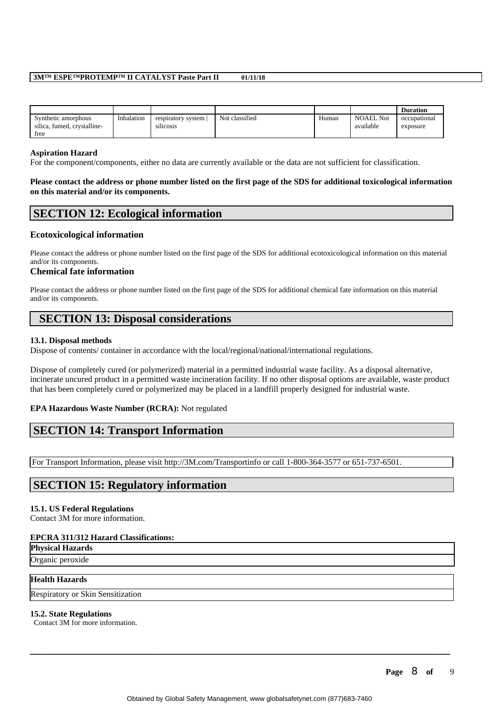|                                                    |            |                                     |                |       |                               | <b>Duration</b>          |
|----------------------------------------------------|------------|-------------------------------------|----------------|-------|-------------------------------|--------------------------|
| Synthetic amorphous<br>silica, fumed, crystalline- | Inhalation | respiratory system<br><br>silicosis | Not classified | Human | <b>NOAEL Not</b><br>available | occupational<br>exposure |
| tree                                               |            |                                     |                |       |                               |                          |

#### **Aspiration Hazard**

For the component/components, either no data are currently available or the data are not sufficient for classification.

**Please contact the address or phone number listed on the first page of the SDS for additional toxicological information on this material and/or its components.**

# **SECTION 12: Ecological information**

# **Ecotoxicological information**

Please contact the address or phone number listed on the first page of the SDS for additional ecotoxicological information on this material and/or its components.

# **Chemical fate information**

Please contact the address or phone number listed on the first page of the SDS for additional chemical fate information on this material and/or its components.

# **SECTION 13: Disposal considerations**

# **13.1. Disposal methods**

Dispose of contents/ container in accordance with the local/regional/national/international regulations.

Dispose of completely cured (or polymerized) material in a permitted industrial waste facility. As a disposal alternative, incinerate uncured product in a permitted waste incineration facility. If no other disposal options are available, waste product that has been completely cured or polymerized may be placed in a landfill properly designed for industrial waste.

# **EPA Hazardous Waste Number (RCRA):** Not regulated

# **SECTION 14: Transport Information**

For Transport Information, please visit http://3M.com/Transportinfo or call 1-800-364-3577 or 651-737-6501.

# **SECTION 15: Regulatory information**

# **15.1. US Federal Regulations**

Contact 3M for more information.

#### **EPCRA 311/312 Hazard Classifications:**

**Physical Hazards** Organic peroxide

# **Health Hazards**

Respiratory or Skin Sensitization

# **15.2. State Regulations**

Contact 3M for more information.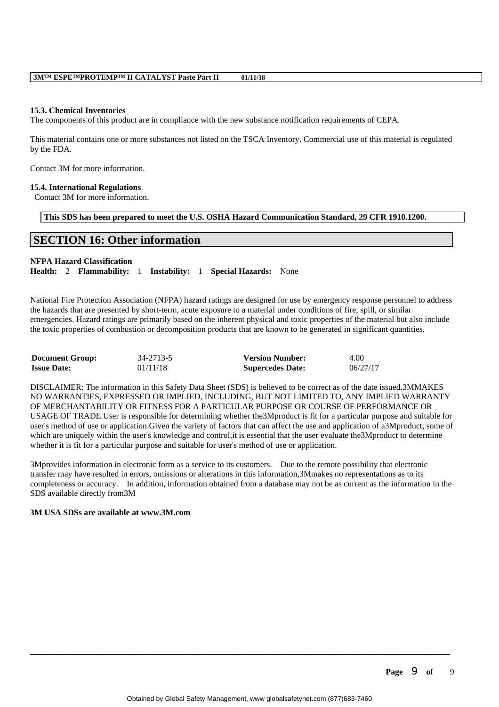#### **15.3. Chemical Inventories**

The components of this product are in compliance with the new substance notification requirements of CEPA.

This material contains one or more substances not listed on the TSCA Inventory. Commercial use of this material is regulated by the FDA.

Contact 3M for more information.

#### **15.4. International Regulations**

Contact 3M for more information.

**This SDS has been prepared to meet the U.S. OSHA Hazard Communication Standard, 29 CFR 1910.1200.**

# **SECTION 16: Other information**

## **NFPA Hazard Classification**

**Health:** 2 **Flammability:** 1 **Instability:** 1 **Special Hazards:** None

National Fire Protection Association (NFPA) hazard ratings are designed for use by emergency response personnel to address the hazards that are presented by short-term, acute exposure to a material under conditions of fire, spill, or similar emergencies. Hazard ratings are primarily based on the inherent physical and toxic properties of the material but also include the toxic properties of combustion or decomposition products that are known to be generated in significant quantities.

| <b>Document Group:</b> | 34-2713-5 | <b>Version Number:</b>  | 4.00     |
|------------------------|-----------|-------------------------|----------|
| <b>Issue Date:</b>     | 01/11/18  | <b>Supercedes Date:</b> | 06/27/17 |

DISCLAIMER: The information in this Safety Data Sheet (SDS) is believed to be correct as of the date issued.3MMAKES NO WARRANTIES, EXPRESSED OR IMPLIED, INCLUDING, BUT NOT LIMITED TO, ANY IMPLIED WARRANTY OF MERCHANTABILITY OR FITNESS FOR A PARTICULAR PURPOSE OR COURSE OF PERFORMANCE OR USAGE OF TRADE.User is responsible for determining whether the3Mproduct is fit for a particular purpose and suitable for user's method of use or application.Given the variety of factors that can affect the use and application of a3Mproduct, some of which are uniquely within the user's knowledge and control, it is essential that the user evaluate the3Mproduct to determine whether it is fit for a particular purpose and suitable for user's method of use or application.

3Mprovides information in electronic form as a service to its customers. Due to the remote possibility that electronic transfer may have resulted in errors, omissions or alterations in this information,3Mmakes no representations as to its completeness or accuracy. In addition, information obtained from a database may not be as current as the information in the SDS available directly from3M

## **3M USA SDSs are available at www.3M.com**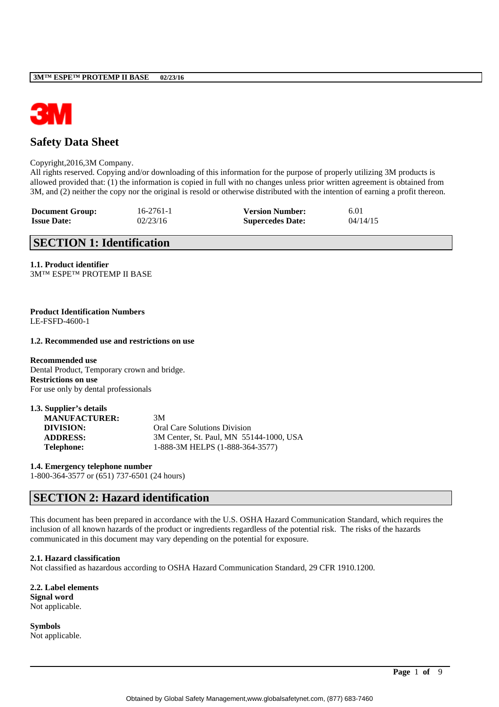

# **Safety Data Sheet**

#### Copyright,2016,3M Company.

All rights reserved. Copying and/or downloading of this information for the purpose of properly utilizing 3M products is allowed provided that: (1) the information is copied in full with no changes unless prior written agreement is obtained from 3M, and (2) neither the copy nor the original is resold or otherwise distributed with the intention of earning a profit thereon.

| <b>Document Group:</b> | $16 - 2761 - 1$ | <b>Version Number:</b>  | 6.01     |
|------------------------|-----------------|-------------------------|----------|
| <b>Issue Date:</b>     | 02/23/16        | <b>Supercedes Date:</b> | 04/14/15 |

# **SECTION 1: Identification**

**1.1. Product identifier** 3M™ ESPE™ PROTEMP II BASE

**Product Identification Numbers** LE-FSFD-4600-1

#### **1.2. Recommended use and restrictions on use**

**Recommended use** Dental Product, Temporary crown and bridge. **Restrictions on use** For use only by dental professionals

| 1.3. Supplier's details |                                         |
|-------------------------|-----------------------------------------|
| <b>MANUFACTURER:</b>    | 3M                                      |
| DIVISION:               | <b>Oral Care Solutions Division</b>     |
| <b>ADDRESS:</b>         | 3M Center, St. Paul, MN 55144-1000, USA |
| <b>Telephone:</b>       | 1-888-3M HELPS (1-888-364-3577)         |

**1.4. Emergency telephone number** 1-800-364-3577 or (651) 737-6501 (24 hours)

# **SECTION 2: Hazard identification**

This document has been prepared in accordance with the U.S. OSHA Hazard Communication Standard, which requires the inclusion of all known hazards of the product or ingredients regardless of the potential risk. The risks of the hazards communicated in this document may vary depending on the potential for exposure.

#### **2.1. Hazard classification**

Not classified as hazardous according to OSHA Hazard Communication Standard, 29 CFR 1910.1200.

**2.2. Label elements Signal word** Not applicable.

**Symbols** Not applicable.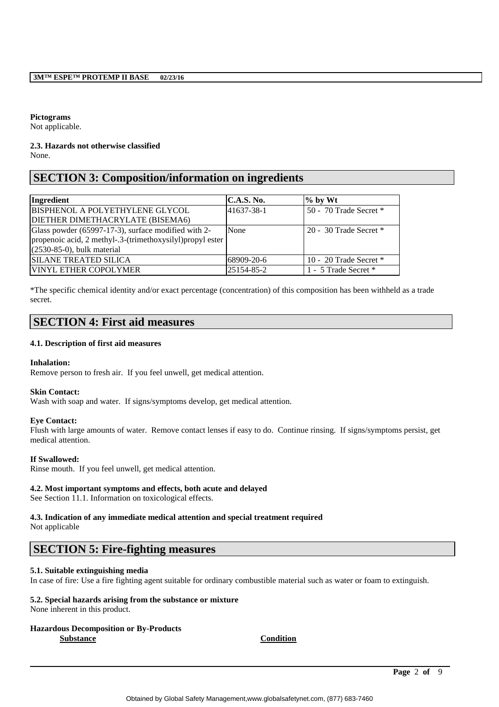# **Pictograms**

Not applicable.

# **2.3. Hazards not otherwise classified**

None.

# **SECTION 3: Composition/information on ingredients**

| Ingredient                                                 | <b>C.A.S. No.</b> | $\%$ by Wt               |
|------------------------------------------------------------|-------------------|--------------------------|
| BISPHENOL A POLYETHYLENE GLYCOL                            | 41637-38-1        | 50 - 70 Trade Secret *   |
| DIETHER DIMETHACRYLATE (BISEMA6)                           |                   |                          |
| Glass powder (65997-17-3), surface modified with 2-        | None              | 20 - 30 Trade Secret $*$ |
| propenoic acid, 2 methyl-.3-(trimethoxysilyl) propyl ester |                   |                          |
| $(2530-85-0)$ , bulk material                              |                   |                          |
| <b>SILANE TREATED SILICA</b>                               | 68909-20-6        | 10 - 20 Trade Secret $*$ |
| <b>VINYL ETHER COPOLYMER</b>                               | 25154-85-2        | 1 - 5 Trade Secret *     |

\*The specific chemical identity and/or exact percentage (concentration) of this composition has been withheld as a trade secret.

# **SECTION 4: First aid measures**

# **4.1. Description of first aid measures**

# **Inhalation:**

Remove person to fresh air. If you feel unwell, get medical attention.

# **Skin Contact:**

Wash with soap and water. If signs/symptoms develop, get medical attention.

# **Eye Contact:**

Flush with large amounts of water. Remove contact lenses if easy to do. Continue rinsing. If signs/symptoms persist, get medical attention.

# **If Swallowed:**

Rinse mouth. If you feel unwell, get medical attention.

# **4.2. Most important symptoms and effects, both acute and delayed**

See Section 11.1. Information on toxicological effects.

## **4.3. Indication of any immediate medical attention and special treatment required** Not applicable

# **SECTION 5: Fire-fighting measures**

# **5.1. Suitable extinguishing media**

In case of fire: Use a fire fighting agent suitable for ordinary combustible material such as water or foam to extinguish.

# **5.2. Special hazards arising from the substance or mixture**

None inherent in this product.

#### **Hazardous Decomposition or By-Products Substance Condition**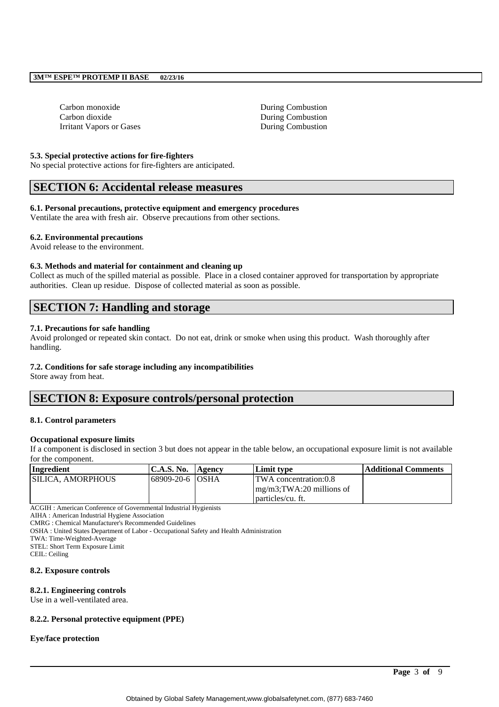Carbon monoxide During Combustion Carbon dioxide During Combustion Irritant Vapors or Gases During Combustion

#### **5.3. Special protective actions for fire-fighters**

No special protective actions for fire-fighters are anticipated.

# **SECTION 6: Accidental release measures**

# **6.1. Personal precautions, protective equipment and emergency procedures**

Ventilate the area with fresh air. Observe precautions from other sections.

## **6.2. Environmental precautions**

Avoid release to the environment.

#### **6.3. Methods and material for containment and cleaning up**

Collect as much of the spilled material as possible. Place in a closed container approved for transportation by appropriate authorities. Clean up residue. Dispose of collected material as soon as possible.

# **SECTION 7: Handling and storage**

## **7.1. Precautions for safe handling**

Avoid prolonged or repeated skin contact. Do not eat, drink or smoke when using this product. Wash thoroughly after handling.

# **7.2. Conditions for safe storage including any incompatibilities**

Store away from heat.

# **SECTION 8: Exposure controls/personal protection**

#### **8.1. Control parameters**

#### **Occupational exposure limits**

If a component is disclosed in section 3 but does not appear in the table below, an occupational exposure limit is not available for the component.

| Ingredient         | <b>C.A.S. No.</b> | Agency | Limit type                    | Additional Comments |
|--------------------|-------------------|--------|-------------------------------|---------------------|
| ISILICA. AMORPHOUS | 68909-20-6 OSHA   |        | <b>TWA</b> concentration:0.8  |                     |
|                    |                   |        | $mg/m3$ ; TWA: 20 millions of |                     |
|                    |                   |        | particles/cu. ft.             |                     |

ACGIH : American Conference of Governmental Industrial Hygienists

AIHA : American Industrial Hygiene Association

CMRG : Chemical Manufacturer's Recommended Guidelines

OSHA : United States Department of Labor - Occupational Safety and Health Administration

TWA: Time-Weighted-Average

STEL: Short Term Exposure Limit

CEIL: Ceiling

#### **8.2. Exposure controls**

#### **8.2.1. Engineering controls**

Use in a well-ventilated area.

#### **8.2.2. Personal protective equipment (PPE)**

#### **Eye/face protection**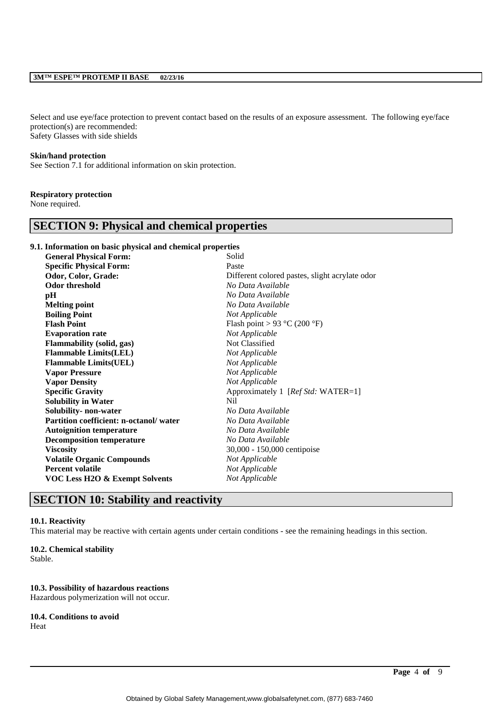## **3M™ ESPE™ PROTEMP II BASE 02/23/16**

Select and use eye/face protection to prevent contact based on the results of an exposure assessment. The following eye/face protection(s) are recommended: Safety Glasses with side shields

# **Skin/hand protection**

See Section 7.1 for additional information on skin protection.

#### **Respiratory protection**

None required.

# **SECTION 9: Physical and chemical properties**

## **9.1. Information on basic physical and chemical properties**

| <b>General Physical Form:</b>          | Solid                                          |
|----------------------------------------|------------------------------------------------|
| <b>Specific Physical Form:</b>         | Paste                                          |
| Odor, Color, Grade:                    | Different colored pastes, slight acrylate odor |
| <b>Odor threshold</b>                  | No Data Available                              |
| pН                                     | No Data Available                              |
| <b>Melting point</b>                   | No Data Available                              |
| <b>Boiling Point</b>                   | Not Applicable                                 |
| <b>Flash Point</b>                     | Flash point > 93 °C (200 °F)                   |
| <b>Evaporation rate</b>                | Not Applicable                                 |
| Flammability (solid, gas)              | Not Classified                                 |
| <b>Flammable Limits(LEL)</b>           | Not Applicable                                 |
| <b>Flammable Limits (UEL)</b>          | Not Applicable                                 |
| <b>Vapor Pressure</b>                  | Not Applicable                                 |
| <b>Vapor Density</b>                   | Not Applicable                                 |
| <b>Specific Gravity</b>                | Approximately 1 [Ref Std: WATER=1]             |
| <b>Solubility in Water</b>             | Nil                                            |
| Solubility- non-water                  | No Data Available                              |
| Partition coefficient: n-octanol/water | No Data Available                              |
| <b>Autoignition temperature</b>        | No Data Available                              |
| <b>Decomposition temperature</b>       | No Data Available                              |
| <b>Viscosity</b>                       | 30,000 - 150,000 centipoise                    |
| <b>Volatile Organic Compounds</b>      | Not Applicable                                 |
| <b>Percent volatile</b>                | Not Applicable                                 |
| VOC Less H2O & Exempt Solvents         | Not Applicable                                 |
|                                        |                                                |

# **SECTION 10: Stability and reactivity**

#### **10.1. Reactivity**

This material may be reactive with certain agents under certain conditions - see the remaining headings in this section.

#### **10.2. Chemical stability**

Stable.

#### **10.3. Possibility of hazardous reactions**

Hazardous polymerization will not occur.

#### **10.4. Conditions to avoid**

Heat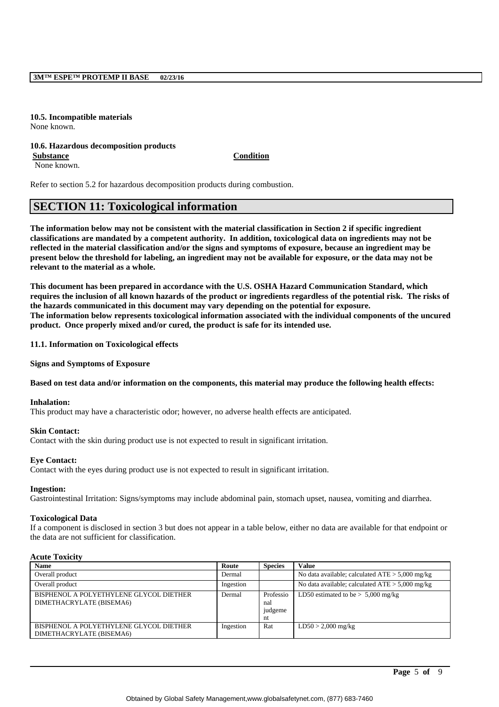**10.5. Incompatible materials** None known.

#### **10.6. Hazardous decomposition products**

**Substance Condition**

None known.

Refer to section 5.2 for hazardous decomposition products during combustion.

# **SECTION 11: Toxicological information**

**The information below may not be consistent with the material classification in Section 2 if specific ingredient classifications are mandated by a competent authority. In addition, toxicological data on ingredients may not be reflected in the material classification and/or the signs and symptoms of exposure, because an ingredient may be present below the threshold for labeling, an ingredient may not be available for exposure, or the data may not be relevant to the material as a whole.**

**This document has been prepared in accordance with the U.S. OSHA Hazard Communication Standard, which requires the inclusion of all known hazards of the product or ingredients regardless of the potential risk. The risks of the hazards communicated in this document may vary depending on the potential for exposure. The information below represents toxicological information associated with the individual components of the uncured product. Once properly mixed and/or cured, the product is safe for its intended use.**

**11.1. Information on Toxicological effects**

**Signs and Symptoms of Exposure**

#### **Based on test data and/or information on the components, this material may produce the following health effects:**

#### **Inhalation:**

This product may have a characteristic odor; however, no adverse health effects are anticipated.

#### **Skin Contact:**

Contact with the skin during product use is not expected to result in significant irritation.

#### **Eye Contact:**

Contact with the eyes during product use is not expected to result in significant irritation.

#### **Ingestion:**

Gastrointestinal Irritation: Signs/symptoms may include abdominal pain, stomach upset, nausea, vomiting and diarrhea.

#### **Toxicological Data**

If a component is disclosed in section 3 but does not appear in a table below, either no data are available for that endpoint or the data are not sufficient for classification.

#### **Acute Toxicity**

| <b>Name</b>                                                         | Route     | <b>Species</b>                    | <b>Value</b>                                      |
|---------------------------------------------------------------------|-----------|-----------------------------------|---------------------------------------------------|
| Overall product                                                     | Dermal    |                                   | No data available; calculated $ATE > 5,000$ mg/kg |
| Overall product                                                     | Ingestion |                                   | No data available; calculated $ATE > 5,000$ mg/kg |
| BISPHENOL A POLYETHYLENE GLYCOL DIETHER<br>DIMETHACRYLATE (BISEMA6) | Dermal    | Professio<br>nal<br>judgeme<br>nt | LD50 estimated to be $> 5,000$ mg/kg              |
| BISPHENOL A POLYETHYLENE GLYCOL DIETHER<br>DIMETHACRYLATE (BISEMA6) | Ingestion | Rat                               | $LD50 > 2,000$ mg/kg                              |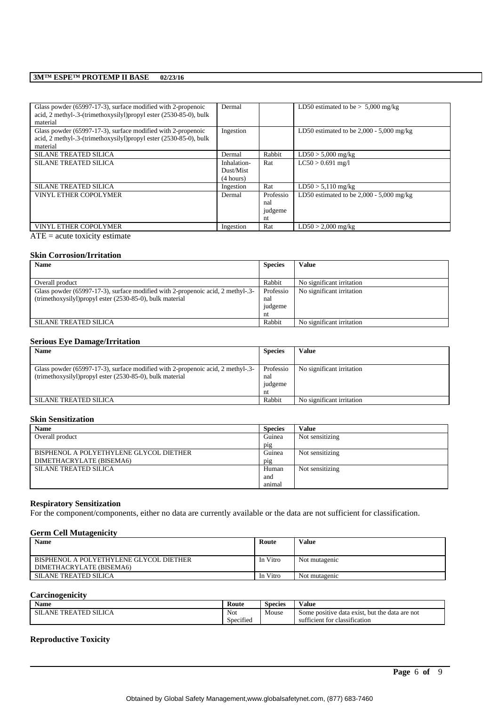## **3M™ ESPE™ PROTEMP II BASE 02/23/16**

| Glass powder (65997-17-3), surface modified with 2-propenoic<br>acid, 2 methyl-.3-(trimethoxysilyl)propyl ester (2530-85-0), bulk<br>material | Dermal                                |                                   | LD50 estimated to be $> 5,000$ mg/kg       |
|-----------------------------------------------------------------------------------------------------------------------------------------------|---------------------------------------|-----------------------------------|--------------------------------------------|
| Glass powder (65997-17-3), surface modified with 2-propenoic<br>acid, 2 methyl-.3-(trimethoxysilyl)propyl ester (2530-85-0), bulk<br>material | Ingestion                             |                                   | LD50 estimated to be $2,000 - 5,000$ mg/kg |
| <b>SILANE TREATED SILICA</b>                                                                                                                  | Dermal                                | Rabbit                            | $LD50 > 5,000$ mg/kg                       |
| <b>SILANE TREATED SILICA</b>                                                                                                                  | Inhalation-<br>Dust/Mist<br>(4 hours) | Rat                               | $LC50 > 0.691$ mg/l                        |
| <b>SILANE TREATED SILICA</b>                                                                                                                  | Ingestion                             | Rat                               | $LD50 > 5,110$ mg/kg                       |
| <b>VINYL ETHER COPOLYMER</b>                                                                                                                  | Dermal                                | Professio<br>nal<br>judgeme<br>nt | LD50 estimated to be $2,000 - 5,000$ mg/kg |
| <b>VINYL ETHER COPOLYMER</b>                                                                                                                  | Ingestion                             | Rat                               | $LD50 > 2,000$ mg/kg                       |

 $ATE = acute$  toxicity estimate

## **Skin Corrosion/Irritation**

| <b>Name</b>                                                                     | <b>Species</b> | Value                     |
|---------------------------------------------------------------------------------|----------------|---------------------------|
|                                                                                 |                |                           |
| Overall product                                                                 | Rabbit         | No significant irritation |
| Glass powder (65997-17-3), surface modified with 2-propenoic acid, 2 methyl-.3- | Professio      | No significant irritation |
| (trimethoxysilyl) propyl ester (2530-85-0), bulk material                       | nal            |                           |
|                                                                                 | judgeme        |                           |
|                                                                                 | nt             |                           |
| <b>SILANE TREATED SILICA</b>                                                    | Rabbit         | No significant irritation |

## **Serious Eye Damage/Irritation**

| <b>Name</b>                                                                     | <b>Species</b> | Value                     |
|---------------------------------------------------------------------------------|----------------|---------------------------|
|                                                                                 |                |                           |
| Glass powder (65997-17-3), surface modified with 2-propenoic acid, 2 methyl-.3- | Professio      | No significant irritation |
| (trimethoxysilyl) propyl ester (2530-85-0), bulk material                       | nal            |                           |
|                                                                                 | judgeme        |                           |
|                                                                                 | nt             |                           |
| <b>SILANE TREATED SILICA</b>                                                    | Rabbit         | No significant irritation |

## **Skin Sensitization**

| <b>Name</b>                             | <b>Species</b> | Value           |
|-----------------------------------------|----------------|-----------------|
| Overall product                         | Guinea         | Not sensitizing |
|                                         | pig            |                 |
| BISPHENOL A POLYETHYLENE GLYCOL DIETHER | Guinea         | Not sensitizing |
| DIMETHACRYLATE (BISEMA6)                | pig            |                 |
| <b>SILANE TREATED SILICA</b>            | Human          | Not sensitizing |
|                                         | and            |                 |
|                                         | animal         |                 |

# **Respiratory Sensitization**

For the component/components, either no data are currently available or the data are not sufficient for classification.

#### **Germ Cell Mutagenicity**

| <b>Name</b>                                                         | Route    | <b>Value</b>  |
|---------------------------------------------------------------------|----------|---------------|
| BISPHENOL A POLYETHYLENE GLYCOL DIETHER<br>DIMETHACRYLATE (BISEMA6) | In Vitro | Not mutagenic |
| <b>SILANE TREATED SILICA</b>                                        | In Vitro | Not mutagenic |

# **Carcinogenicity**

| <b>Name</b>                              | Route               | $\sim$<br>Species | $-1$<br>V alue                                           |
|------------------------------------------|---------------------|-------------------|----------------------------------------------------------|
| <b>EATED SILICA</b><br><b>SILANE TRE</b> | Not                 | Mouse             | e data exist.<br>, but the data are not<br>Some positive |
|                                          | $\sim$<br>Specified |                   | $\sim$<br>classification<br>∴ for ∘<br>sufficient        |

\_\_\_\_\_\_\_\_\_\_\_\_\_\_\_\_\_\_\_\_\_\_\_\_\_\_\_\_\_\_\_\_\_\_\_\_\_\_\_\_\_\_\_\_\_\_\_\_\_\_\_\_\_\_\_\_\_\_\_\_\_\_\_\_\_\_\_\_\_\_\_\_\_\_\_\_\_\_\_\_\_\_\_\_\_\_\_\_\_\_

# **Reproductive Toxicity**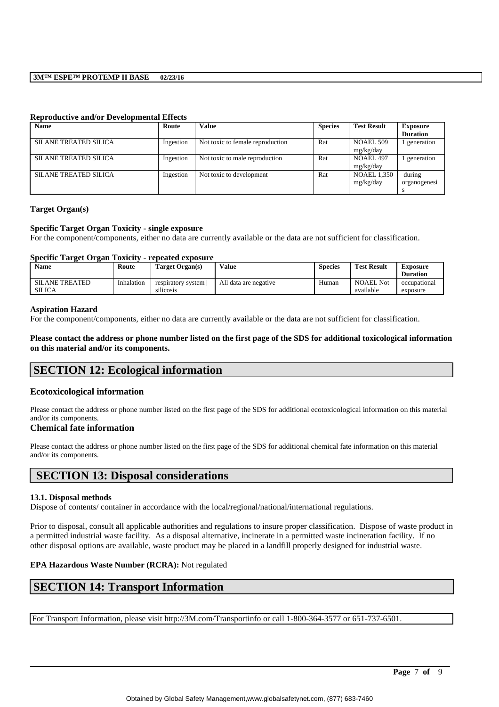# **3M™ ESPE™ PROTEMP II BASE 02/23/16**

| <b>Name</b>                  | Route     | Value                            | <b>Species</b> | <b>Test Result</b>              | <b>Exposure</b><br><b>Duration</b> |
|------------------------------|-----------|----------------------------------|----------------|---------------------------------|------------------------------------|
| <b>SILANE TREATED SILICA</b> | Ingestion | Not toxic to female reproduction | Rat            | NOAEL 509<br>mg/kg/day          | generation                         |
| SILANE TREATED SILICA        | Ingestion | Not toxic to male reproduction   | Rat            | <b>NOAEL 497</b><br>mg/kg/day   | generation                         |
| SILANE TREATED SILICA        | Ingestion | Not toxic to development         | Rat            | <b>NOAEL 1,350</b><br>mg/kg/day | during<br>organogenesi             |

# **Reproductive and/or Developmental Effects**

#### **Target Organ(s)**

#### **Specific Target Organ Toxicity - single exposure**

For the component/components, either no data are currently available or the data are not sufficient for classification.

#### **Specific Target Organ Toxicity - repeated exposure**

| <b>Name</b>                            | Route      | Target Organ(s)                 | Value                 | <b>Species</b> | <b>Test Result</b>     | Exposure<br><b>Duration</b> |
|----------------------------------------|------------|---------------------------------|-----------------------|----------------|------------------------|-----------------------------|
| <b>SILANE TREATED</b><br><b>SILICA</b> | Inhalation | respiratory system<br>silicosis | All data are negative | Human          | NOAEL Not<br>available | occupational<br>exposure    |

#### **Aspiration Hazard**

For the component/components, either no data are currently available or the data are not sufficient for classification.

**Please contact the address or phone number listed on the first page of the SDS for additional toxicological information on this material and/or its components.**

# **SECTION 12: Ecological information**

#### **Ecotoxicological information**

Please contact the address or phone number listed on the first page of the SDS for additional ecotoxicological information on this material and/or its components.

#### **Chemical fate information**

Please contact the address or phone number listed on the first page of the SDS for additional chemical fate information on this material and/or its components.

# **SECTION 13: Disposal considerations**

#### **13.1. Disposal methods**

Dispose of contents/ container in accordance with the local/regional/national/international regulations.

Prior to disposal, consult all applicable authorities and regulations to insure proper classification. Dispose of waste product in a permitted industrial waste facility. As a disposal alternative, incinerate in a permitted waste incineration facility. If no other disposal options are available, waste product may be placed in a landfill properly designed for industrial waste.

#### **EPA Hazardous Waste Number (RCRA):** Not regulated

# **SECTION 14: Transport Information**

For Transport Information, please visit http://3M.com/Transportinfo or call 1-800-364-3577 or 651-737-6501.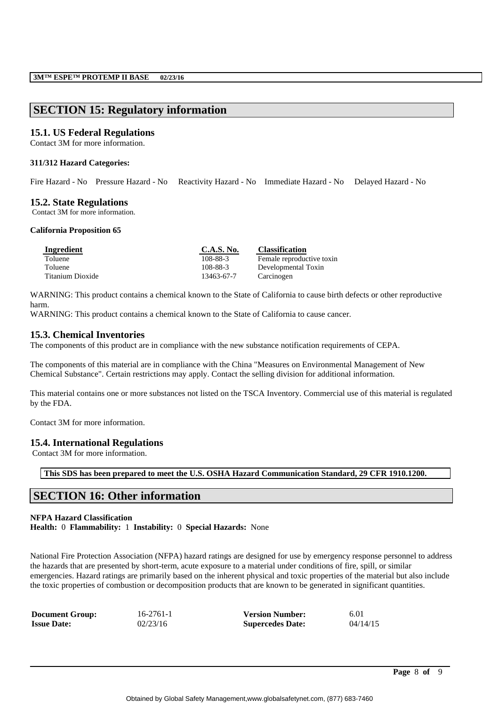# **SECTION 15: Regulatory information**

# **15.1. US Federal Regulations**

Contact 3M for more information.

## **311/312 Hazard Categories:**

Fire Hazard - No Pressure Hazard - No Reactivity Hazard - No Immediate Hazard - No Delayed Hazard - No

# **15.2. State Regulations**

Contact 3M for more information.

#### **California Proposition 65**

| Ingredient       | <b>C.A.S. No.</b> | <b>Classification</b>     |
|------------------|-------------------|---------------------------|
| Toluene          | 108-88-3          | Female reproductive toxin |
| Toluene          | 108-88-3          | Developmental Toxin       |
| Titanium Dioxide | 13463-67-7        | Carcinogen                |

WARNING: This product contains a chemical known to the State of California to cause birth defects or other reproductive harm.

WARNING: This product contains a chemical known to the State of California to cause cancer.

# **15.3. Chemical Inventories**

The components of this product are in compliance with the new substance notification requirements of CEPA.

The components of this material are in compliance with the China "Measures on Environmental Management of New Chemical Substance". Certain restrictions may apply. Contact the selling division for additional information.

This material contains one or more substances not listed on the TSCA Inventory. Commercial use of this material is regulated by the FDA.

Contact 3M for more information.

# **15.4. International Regulations**

Contact 3M for more information.

**This SDS has been prepared to meet the U.S. OSHA Hazard Communication Standard, 29 CFR 1910.1200.**

# **SECTION 16: Other information**

# **NFPA Hazard Classification**

**Health:** 0 **Flammability:** 1 **Instability:** 0 **Special Hazards:** None

National Fire Protection Association (NFPA) hazard ratings are designed for use by emergency response personnel to address the hazards that are presented by short-term, acute exposure to a material under conditions of fire, spill, or similar emergencies. Hazard ratings are primarily based on the inherent physical and toxic properties of the material but also include the toxic properties of combustion or decomposition products that are known to be generated in significant quantities.

| <b>Document Group:</b> | $16 - 2761 - 1$ | <b>Version Number:</b>  | 6.01     |
|------------------------|-----------------|-------------------------|----------|
| <b>Issue Date:</b>     | 02/23/16        | <b>Supercedes Date:</b> | 04/14/15 |